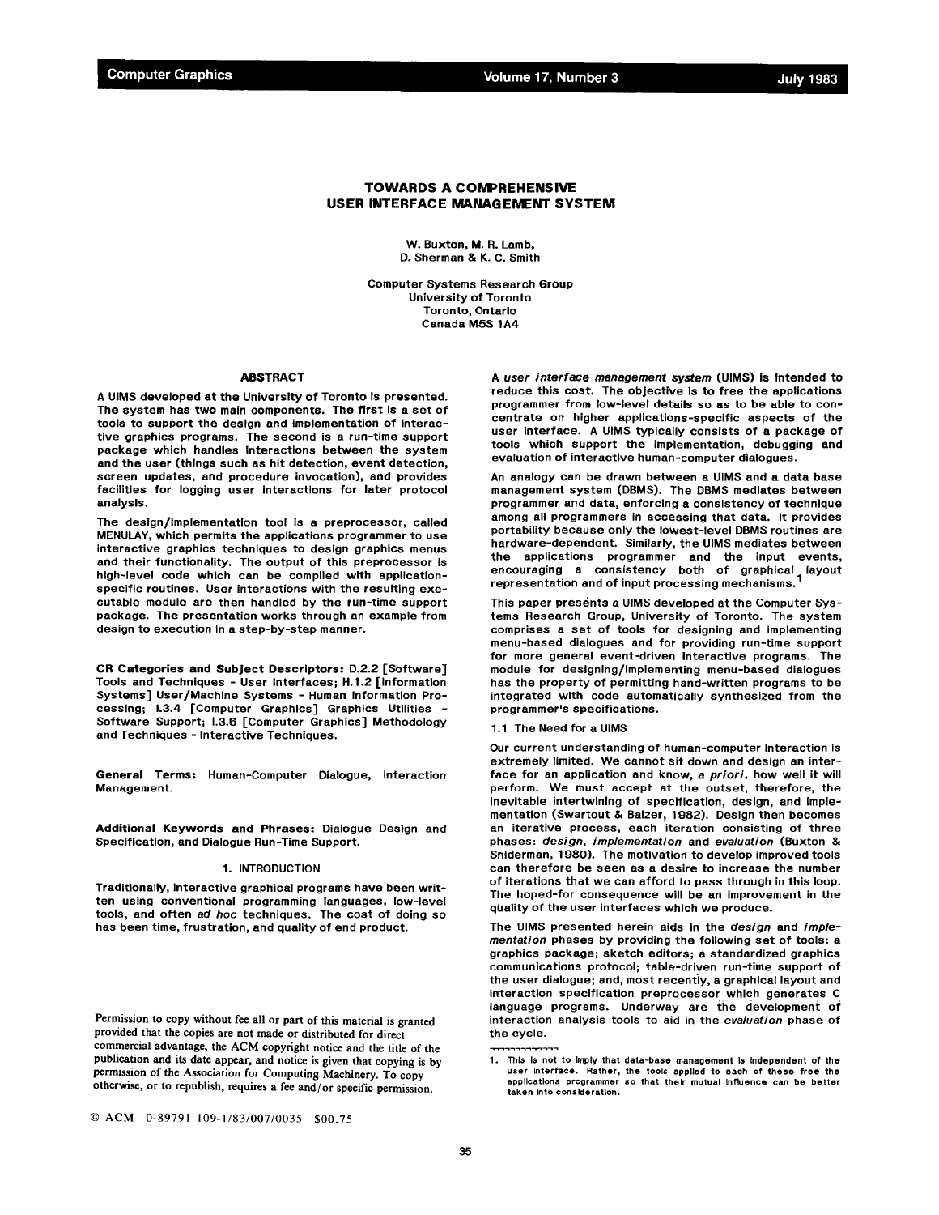Volume 17, Number 3

# **TOWARDS A COMPREHENSIVE USER INTERFACE MANAGEMENT SYSTEM**

W. Buxton, M. R. Lamb, D. Sherman & K. C. Smith

Computer *Systems* Research Group University of Toronto Toronto, Ontario Canada MBS 1A4

### **ABSTRACT**

A UIMS developed at the University of Toronto Is presented. The system has two main components. The first is a set of tools to support the design and implementation of interactive graphics programs. The second is a run-time support package which handles Interactlons between the system and the user (thlngs such as hit detection, event detection, screen updates, and procedure invocation), and provides facilities for logging user interactions for later protocol analysis.

The deslgn/Implementation tool Is a preprocessor, called MENULAY, which permits the applications programmer to use interactive graphics technlques to design graphics menus and their functionality. The output of this preprocessor is high-level code which can be compiled with applicationspecific routines. User interactions with the resulting executable module are then handled by the run-time support package. The presentation works through an example from design to execution in a step-by-step manner.

**CR Categories and Subject Descriptors.-** D.2.2 [Software] Tools and Techniques - User Interfaces; H.1.2 [Information Systems] User/Machine Systems - Human Information Processing; 1.3.4 [Computer Graphics] Graphics Utilities - Software Support; 1.3.6 [Computer Graphics] Methodology and Techniques - Interactive Techniques.

**General Terms:** Human-Computer Dialogue, Interaction Management.

**Additional Keywords and Phrases:** Dialogue Deslgn and Specification, and Dialogue Run-Time Support.

## 1. INTRODUCTION

Traditionally, Interactive graphical programs have been written using conventional programming languages, low-level tools, and often ad *hoc* techniques. The cost of doing so has been time, frustration, and quality of end product.

Permission to copy without fee all or part of this material is granted provided that the copies are not made or distributed for direct commercial advantage, the ACM copyright notice and the title of the publication and its date appear, and notice is given that copying is by permission of the Association for Computing Machinery. To copy otherwise, or to republish, requires a fee and/or specific permission.

*A user interface management system* (UIMS) is Intended to reduce this cost. The objective Is to free the applications programmer from low-level details so as to be able to concentrate on higher applications-specific aspects of the user interface. A UIMS typically consists of a package of tools which support the implementation, debugging and evaluation of interactive human-computer dialogues.

An analogy can be drawn between a UIMS and a data base management system (DBMS). The DBMS mediates between programmer and data, enforcing a consistency of technique among all programmers In accessing that data. It provides portability because only the lowest-level DBMS routines are hardware-dependent. Similarly, the UIMS mediates between the applications programmer and the input events, encouraging a consistency both of graphical, layout representation and of input processing mechanisms. 1

This paper presents a UIMS developed at the Computer Systems Research Group, University of Toronto. The system comprises a set of tools for designing and implementing menu-based dialogues and for providing run-time support for more general event-driven interactive programs. The module for designing/implementing menu-based dialogues has the property of permitting hand-written programs to be integrated with code automatically synthesized from the programmer's specifications.

### 1.1 The Need for a UIMS

**Our** current understanding of human-computer Interaction Is extremely limited. We cannot sit down and design an interface for an application and know, *a priori,* how well it will perform. We must accept at the outset, therefore, the inevitable intertwining of specification, design, and implementation (Swartout & Balzer, 1982). Design then becomes an iterative process, each iteration consisting of three phases: *design, implementation* and *evaluation* (Buxton & Sniderman, 1980). The motivation to develop improved tools can therefore be seen as a desire to increase the number of iterations that we can afford to pass through in this loop. The hoped-for consequence will be an improvement in the quality of the user interfaces which we produce.

The UIMS presented herein aids in the *design* and *implementation* phases by providing the following set of tools: a graphics package; sketch editors; a standardized graphics communications protocol; table-driven run-time support of the user dialogue; and, most recently, a graphical layout and interaction specification preprocessor which generates C language programs. Underway are the development of interaction analysis tools to aid in the *evaluation* phase of the cycle.

<sup>1.</sup> This Is not to Imply that data-base management Is Independent of **the**  user Interface. Rather, the tools applied to each of **these free the**  applications programmer so that their mutual Influence can be **better**  taken Into consideration.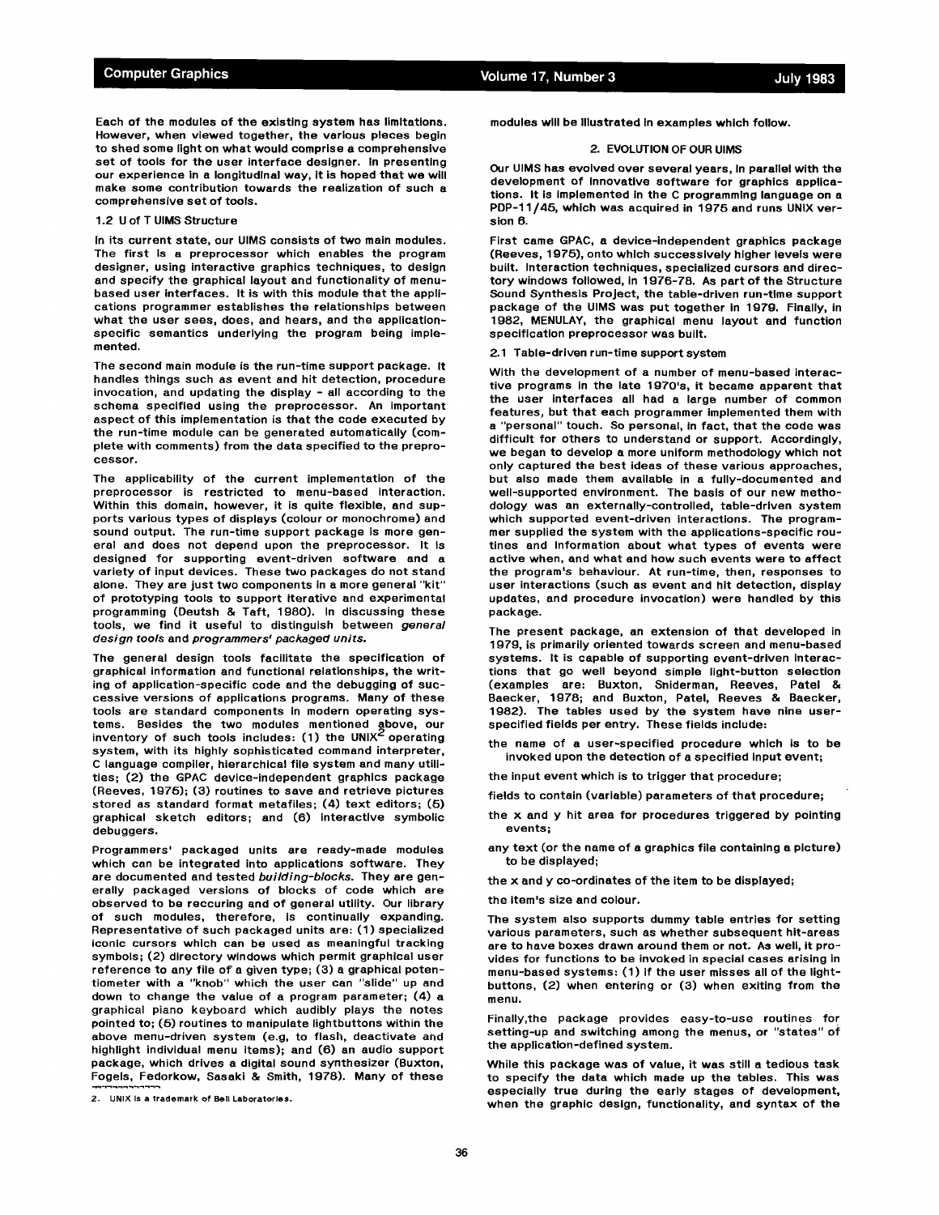Each of the modules of the existing system has limitations. However, when viewed together, the various pieces begin to shed some light on what would comprise a comprehensive set of tools for the user interface designer. In presenting our experience in a longitudinal way, it is hoped that we will make some contribution towards the realization of such a comprehensive set of tools.

#### 1.2 U of T UIMS Structure

In its current state, our UIMS consists of two main modules. The first Is a preprocessor which enables the program designer, using interactive graphics techniques, to design and specify the graphical layout and functionality of menubased user interfaces. It is with this module that the applications programmer establishes the relationships between what the user sees, does, and hears, and the applicationspecific semantics underlying the program being implemented.

The second main module is the run-time support package. It handles things such as event and hit detection, procedure invocation, and updating the display - all according to the schema specified using the preprocessor. An important aspect of this implementation is that the code executed by the run-time module can be generated automatically (complete with comments) from the data specified to the preprocessor.

The applicability of the current implementation of the preprocessor is restricted to menu-based interaction. Within this domain, however, it is quite flexible, and supports various types of displays (colour or monochrome) and sound output. The run-time support package is more general and does not depend upon the preprocessor. It Is designed for supporting event-driven software and e variety of input devices. These two packages do not stand alone. They are just two components in a more general "kit" of prototyping tools to support Iterative and experimental programming (Deutsh & Taft, 1980). In discussing these tools, we find it useful to distinguish between *genera/ design tools* and *programmers' packaged units.* 

The general design tools facilitate the specification of graphical information and functional relationships, the writing of application-specific code and the debugging of successive versions of applications programs. Many of these tools are standard components in modern operating systems. Besides the two modules mentioned above, our<br>inventory of such tools includes: (1) the UNIX<sup>2</sup> operating system, with its highly sophisticated command interpreter, C language compiler, hierarchical file system and many utilities; (2) the GPAC device-independent graphics package (Reeves, 1975); (3) routines to save and retrieve pictures stored as standard format metafiles; (4) text editors; (5) graphical sketch editors; and (B) interactive symbolic debuggers.

Programmers' packaged units are ready-made modules which can be integrated into applications software. They are documented and tested *building-blocks.* They are generally packaged versions of blocks of code which are observed to be reccuring and of general utility. Our library of such modules, therefore, is continually expanding. Representative of such packaged units are: (1) specialized iconic cursors which can be used as meaningful tracking symbols; (2) directory windows which permit graphical user reference to any file of a given type; (3) a graphical potentiometer with a "knob" which the user can "slide" up and down to change the value of a program parameter; (4) a graphical piano keyboard which audibly plays the notes pointed to; (5) routines to manipulate lightbuttons within the above menu-driven system (e.g, to flash, deactivate and highlight individual menu items); and (6) an audio support package, which drives a digital sound synthesizer (Buxton, Fogels, Fedorkow, Sasaki & Smith, 1078). Many of these

2. UNIX is a trademark of Bell Laboratories.

modules will be Illustrated In examples which follow.

### 2. EVOLUTION OF OUR UIMS

Our UIMS has evolved over several years, In parallel with the development of innovative software for graphics applications, it is implemented in the C programming language on a PDP-11/45, which was acquired in 1975 and runs UNIX version 6.

First came GPAC, a device-independent graphics package (Reeves, 1975), onto which successively higher levels were built. Interaction techniques, specialized cursors and directory windows followed, in 1976-78. As part of the Structure Sound Synthesis Project, the table-driven run-time support package of the UIMS was put together in 19zg. Finally, in 1982, MENULAY, the graphical menu layout and function specification preprocessor was built.

2.1 Table-driven run-time support system

With the development of a number of menu-based interactive programs in the late 1970's, it became apparent that the user interfaces all had a large number of common features, but that each programmer implemented them with a "personal" touch. So personal, in fact, that the code was difficult for others to understand or support. Accordingly, we began to develop a more uniform methodology which not only captured the best ideas of these various approaches, but also made them available in a fully-documented and well-supported environment. The basis of our new methodology was an externally-controlled, table-driven system which supported event-driven interactions. The programmer supplied the system with the applications-specific routines and Information about what types of events were active when, and what and how *such* events were to effect the program's behaviour. At run-time, then, responses to user interactions (such as event and hit detection, display updates, and procedure invocation) were handled by this package.

The present package, an extension of that developed in 1979, is primarily oriented towards screen and menu-based systems. It is capable of supporting event-driven interactions that go well beyond simple light-button selection (examples are: Buxton, Sniderman, Reeves, Patel & Baecker, 1978; and Buxton, Patel, Reeves & Baecker, 1082). The tables used by the system have nine userspecified fields per entry. These fields include:

the name of a user-specified procedure which is to be invoked upon the detection of a specified input event;

the input event which is to trigger that procedure;

fields to contain (variable) parameters of that procedure;

the x and y hit area for procedures triggered by pointing events;

any text (or the name of a graphics file containing a picture) to be displayed;

the x and y co-ordinates of the item to be displayed;

the item's size and colour.

The system also supports dummy table entries for setting various parameters, such as whether subsequent hit-areas are to have boxes drawn around them or not. As well, it provides for functions to be invoked in special cases arising in menu-based systems: (1) if the user misses all of the lightbuttons, (2) when entering or (3) when exiting from the menu.

Finally,the package provides easy-to-use routines for setting-up and switching among the menus, or "states" of the application-defined system.

While this package was of value, it was still a tedious task to specify the data which made up the tables. This was especially true during the early stages of development, when the graphic design, functionality, and syntax of the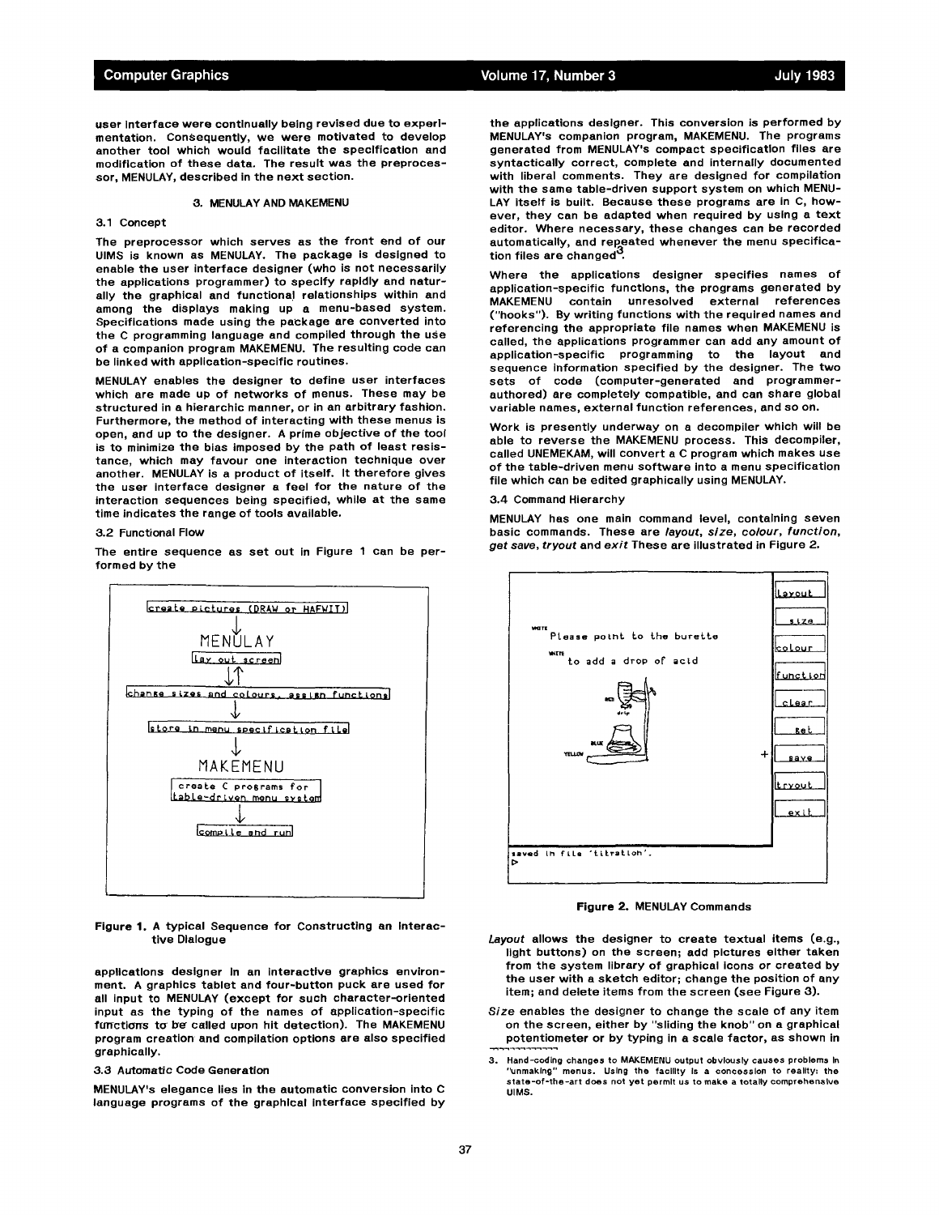user interface were continually being revised due to experimentation. ConSequently, we were motivated to develop another tool which would facilitate the specification and modification of these data. The result was the preprocessor, MENULAY, described in the next section.

# 3. MENULAY AND MAKEMENU

#### 3.1 Concept

The preprocessor which serves as the front end of our UIMS is known as MENULAY. The package is designed to enable the user interface designer (who is not necessarily the applications programmer) to specify rapidly and naturally the graphical and functional relationships within and among the displays making up a menu-based system. Specifications made using the package are converted into the C programming language and compiled through the use of a companion program MAKEMENU. The resulting code can be linked with application-specific routines.

MENULAY enables the designer to define user interfaces which are made up of networks of menus. These may be structured in a hierarchic manner, or in an arbitrary fashion. Furthermore, the method of interacting with these menus is open, and up to the designer. A prime objective of the tool is to minimize the bias imposed by the path of least resistance, which may favour one interaction technique over another. MENULAY is a product of itself. It therefore gives the user interface designer a feel for the nature of the interaction sequences being specified, while at the same time indicates the range of tools available.

### 3.2 Functional Flow

The entire sequence as set out in Figure 1 can be performed by the



Figure 1. A typical Sequence for Constructing an Interactive Dialogue

applications designer in an interactive graphics environment. A graphics tablet and four-button puck are used for all input to MENULAY (except for such character-oriented input *as* the typing of the names of application-specific functions to be called upon hit detection). The MAKEMENU program creation and compilation options are also specified graphically.

## 3.3 Automatic Code Generation

MENULAY's elegance lies in the automatic conversion into C language programs of the graphical interface specified by

the applications designer. This conversion is performed by MENULAY's companion program, MAKEMENU. The programs generated from MENULAY's compact specification files are syntactically correct, complete and internally documented with liberal comments. They are designed for compilation with the same table-driven support system on which MENU-LAY itself is built. Because these programs are in C, however, they can be adapted when required by using a text editor. Where necessary, these changes can be recorded automatically, and repeated whenever the menu specification files are changed<sup>3</sup>.

Where the applications designer specifies names of application-specific functions, the programs generated by MAKEMENU contain unresolved external references ("hooks"). By writing functions with the required names and referencing the appropriate file names when MAKEMENU is called, the applications programmer can add any amount of application-specific programming to the layout and sequence Information specified by the designer. The two sets of code (computer-generated and programmerauthored) are completely compatible, and can share global variable names, external function references, and so on.

Work is presently underway on a decompiler which will be able to reverse the MAKEMENU process. This decompiler, called UNEMEKAM, will convert a C program which makes use of the table-driven menu software into a menu specification file which can be edited graphically using MENULAY.

#### 3.4 Command Hierarchy

MENULAY has one main command level, containing seven basic commands. These are *layout, size, colour, function, get save, tryout* and *exit* These are illustrated in Figure 2.



Figure 2. MENULAY Commands

- *Layout* allows the designer to create textual items (e.g., light buttons) on the screen; add pictures either taken from the system library of graphical icons or created by the user with a sketch editor; change the position of any item; and delete items from the screen (see Figure 3).
- *Size* enables the designer to change the scale of any item on the screen, either by "sliding the knob" on a graphical potentiometer or by typing in a scale factor, as shown in
- 3. Hand-coding changes to MAKEMENU output obviously causes problems In "unmaking" menus. Using the facility Is a concession to reality= **the**  state-of-the-art does not yet permit us to make a totally comprehensive UIMS.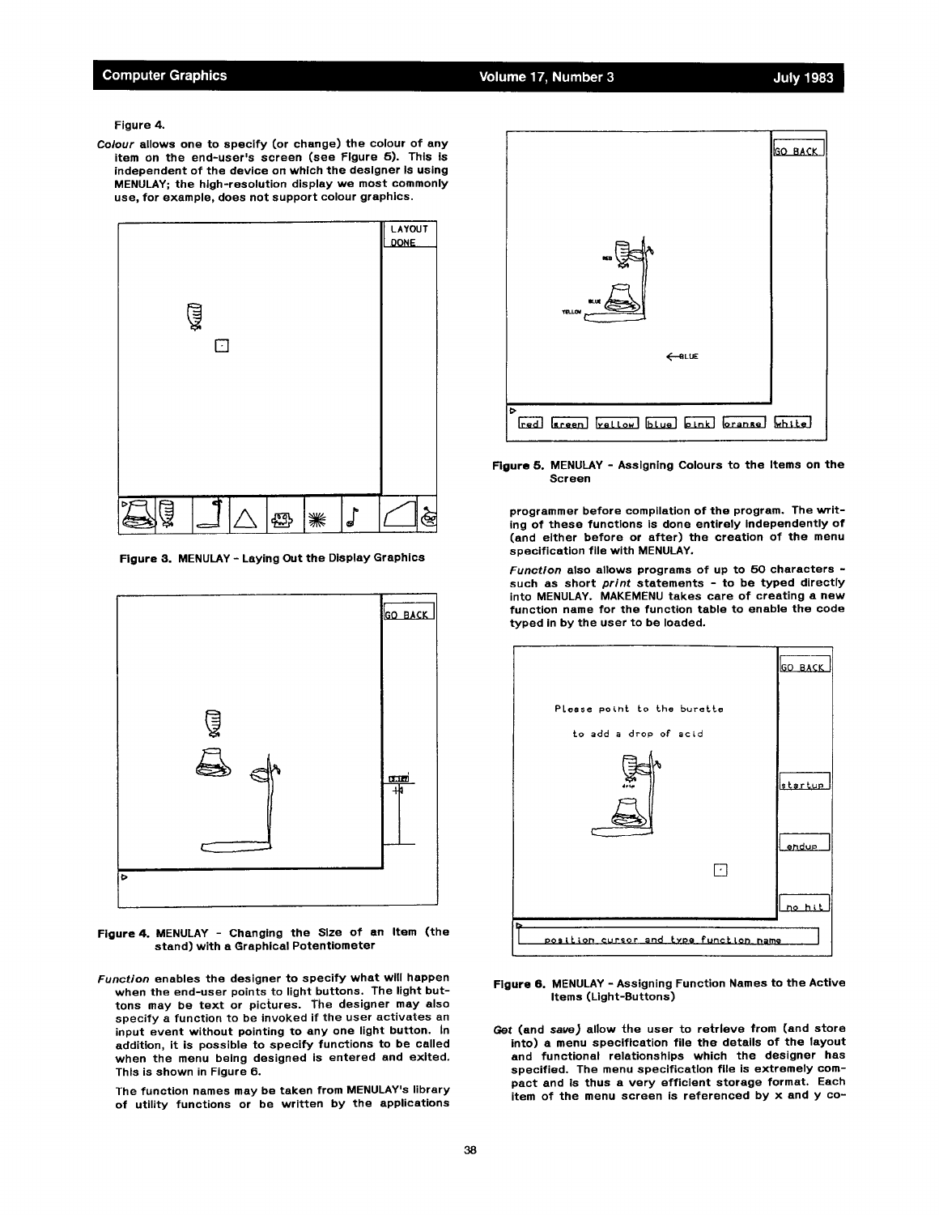Figure 4.

*Co/our* allows one to specify (or change) the colour of any item on the end-user's screen (see Figure 5). This is independent of the device on which the designer is using MENULAY; the high-resolution display we most commonly use, for example, does not support colour graphics.



Figure 3. MENULAY - Laying Out the Display Graphics



Figure 4. MENULAY - Changing the Size of an Item (the stand) with a Graphical Potentiometer

- *Function* enables the designer to specify what will happen when the end-user points to light buttons. The light buttons may be text or pictures. The designer may also specify a function to be invoked if the user activates an input event without pointing to any one light button, in addition, it is possible to specify functions to be called when the menu being designed is entered and exited. This is shown in Figure 6.
	- The function names may be taken from MENULAY's library of utility functions or be written by the applications



Figure 5. MENULAY - Assigning Colours to the Items on the Screen

programmer before compilation of the program. The writing of these functions is done entirely Independently of (and either before or after) the creation of the menu specification file with MENULAY.

*Function* also allows programs of up to 50 characters such as short *print* statements - to be typed directly into MENULAY. MAKEMENU takes care of creating a new function name for the function table to enable the code typed in by the user to be loaded.



Figure 6. MENULAY - Assigning Function Names to the Active Items (Light-Buttons)

Get (and *save)* allow the user to retrieve from (and store into) a menu specification file the details of the layout and functional relationships which the designer has specified. The menu specification file is extremely compact and is thus a very efficient storage format. Each item of the menu screen is referenced by x and y co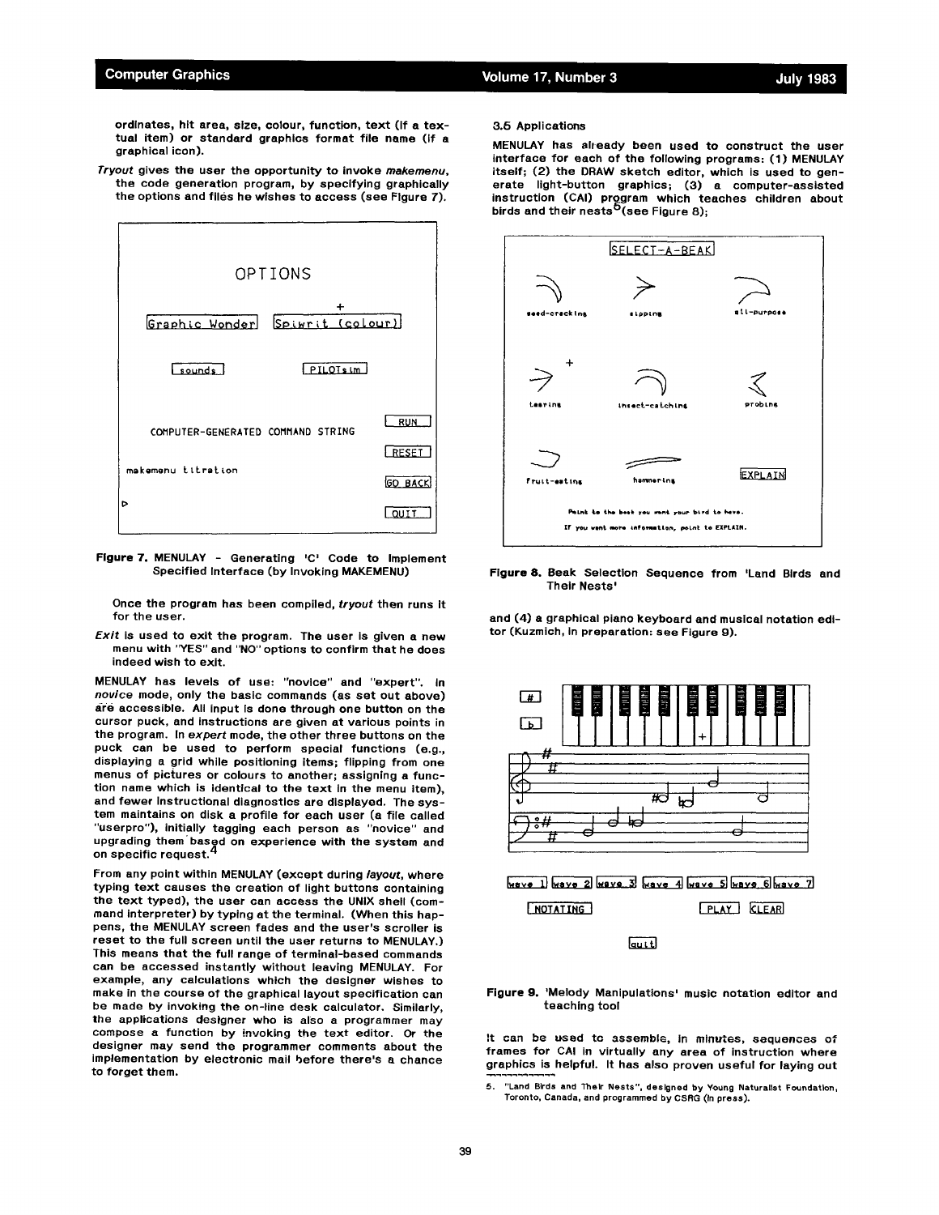ordinates, hit area, size, colour, function, text (If a textual item) or standard graphics format file name (if a graphical icon).

*Tryout* gives the user the opportunity to invoke *rnakemenu,*  the code generation program, by specifying graphically the options and files he wishes to access (see Figure 7).



Figure 7. MENULAY - Generating 'C' Code to Implement Specified Interface (by Invoking MAKEMENU)

Once the program has been compiled, *tryout* then runs It for the user.

*Exit is* used to exit the program. The user is given a new menu with "YES" and "NO" options to confirm that he does indeed wish to exit.

MENULAY has levels of use: "novice" and "expert". In *novice* mode, only the basic commands (as set out above) are accessible. All input Is done through one button on the cursor puck, and instructions are given at various points in the program. In *expert* mode, the other three buttons on the puck can be used to perform special functions (e.g., displaying a grid while positioning items; flipping from one menus of pictures or colours to another; assigning a function name which is identical to the text in the menu item), and fewer instructional diagnostics are displayed. The system maintains on disk a profile for each user (a file called "userpro"), initially tagging each person as "novice" and upgrading them based on experience with the system and on specific request. 4

From any point within MENULAY (except during *layout,* where typing text causes the creation of light buttons containing the text typed), the user can access the UNIX shell (command interpreter) by typing at the terminal. (When this happens, the MENULAY screen fades and the user's scroller is reset to the full screen until the user returns to MENULAY.) This means that the full range of terminal-based commands can be accessed instantly without leaving MENULAY. For example, any calculations which the designer wishes to make in the course of the graphical layout specification can be made by invoking the on-line desk calculator. Similarly, the applications designer who is also a programmer may compose a function by invoking the text editor. Or the designer may send the programmer comments about the implementation by electronic mail before there's a chance to forget them.

## 3.6 Applications

MENULAY has already been used to construct the user interface for each of the following programs: (1) MENULAY itself; (2) the DRAW sketch editor, which is used to generate light-button graphics; (3) a computer-assisted instruction (CAI) program which teaches children about birds and their nests<sup>o</sup>(see Figure 8);



Figure 8. Beak Selection Sequence from 'Land Birds and Their Nests'

and (4) a graphical piano keyboard and musical notation editor (Kuzmich, In preparation: see Figure g).



Figure 9. 'Melody Manipulations' music notation editor and teaching tool

It can be used to assemble, in minutes, sequences of frames for CAI in virtually any area of instruction where graphics is helpful. It has also proven useful for laying out

5. "Land Birds and Their Nests", designed by Young Naturalist Foundation, Toronto, Canada, and programmed by CSRG (In press),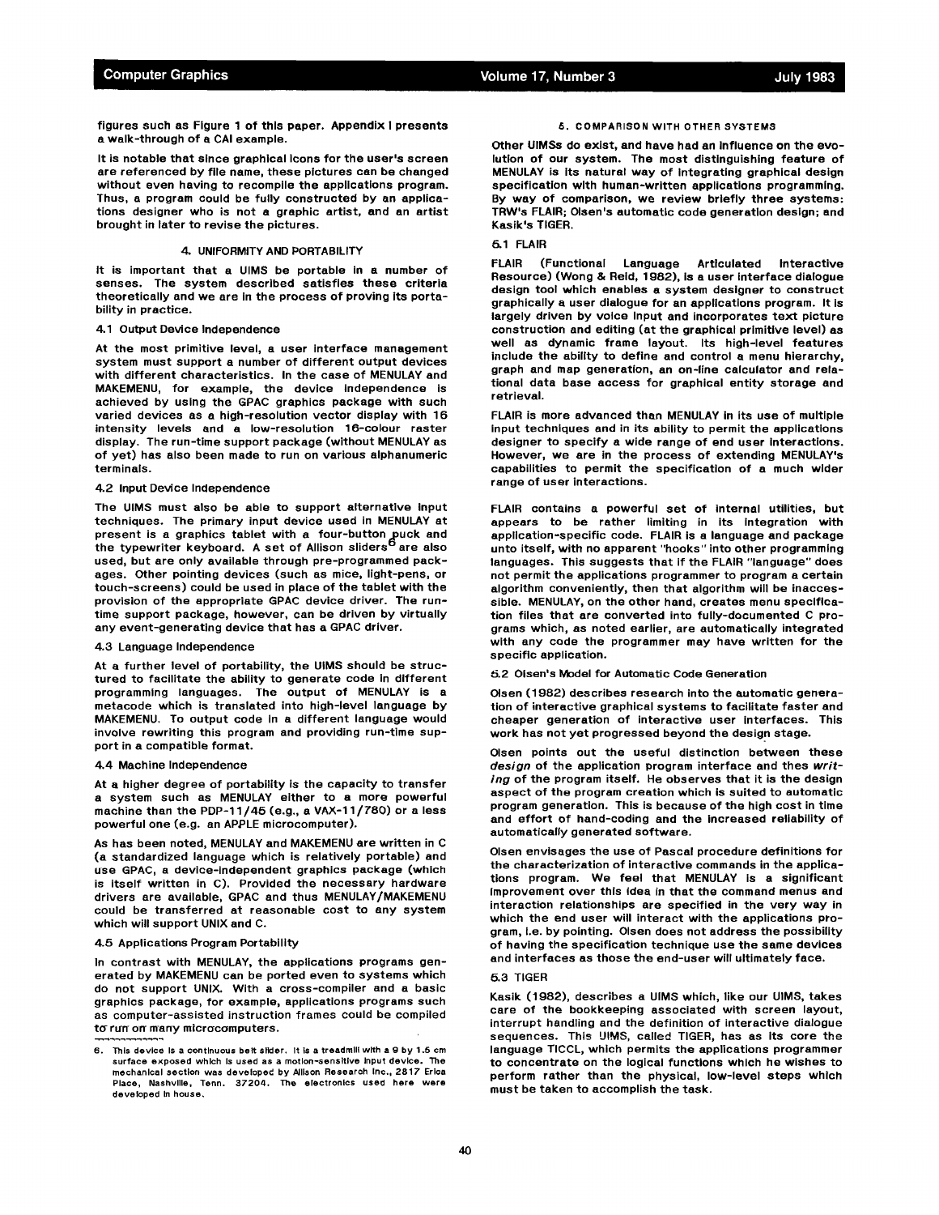figures such as Figure 1 of this paper. Appendix I presents a walk-through of a CAI example.

It is notable that since graphical icons for the user's screen are referenced by file name, these pictures can be changed without even having to recompile the applications program. Thus, a program could be fully constructed by an applications designer who is not a graphic artist, and an artist brought in later to revise the pictures.

### 4. UNIFORMITY AND PORTABILITY

It is important that a UIMS be portable In a number of senses. The system described satisfies these criteria theoretically and we are in the process of proving its portability in practice.

#### 4.1 Output Device Independence

At the most primitive level, a user interface management system must support a number of different output devices with different characteristics. In the case of MENULAY and MAKEMENU, for example, the device independence is achieved by using the GPAC graphics package with such varied devices as a high-resolution vector display with 1B intensity levels and a low-resolution 16-colour raster display. The run-time support package (without MENULAY as of yet) has also been made to run on various alphanumeric terminals.

#### 4.2 Input Device Independence

The UIMS must also be able to support alternative input techniques. The primary input device used in MENULAY at present is a graphics tablet with a four-button=puck and the typewriter keyboard. A set of Allison sliders<sup>o</sup> are also used, but are only available through pre-programmed packages. Other pointing devices (such as mice, light-pens, or touch-screens) could be used in place of the tablet with the provision of the appropriate GPAC device driver. The runtime support package, however, can be driven by virtually any event-generating device that has a GPAC driver.

## 4.3 Language Independence

At a further level of portability, the UIMS should be structured to facilitate the ability to generate code in different programming languages. The output of MENULAY is a metacode which is translated into high-level language by MAKEMENU. To output code In a different language would involve rewriting this program and providing run-time support in a compatible format.

#### 4.4 Machine Independence

At a higher degree of portability is the capacity to transfer a system such as MENULAY either to a more powerful machine than the PDP-11/45 (e.g., a VAX-11/ZBO) or a less powerful one (e.g. an APPLE microcomputer).

As has been noted, MENULAY and MAKEMENU are written in C (a standardized language which is relatively portable) and use GPAC, a device-independent graphics package (which is itself written in C). Provided the necessary hardware drivers are available, GPAC and thus MENULAY/MAKEMENU could be transferred at reasonable cost to any system which will support UNIX and C.

### 4.5 Applications Program Portability

In contrast with MENULAY, the applications programs generated by MAKEMENU can be ported even to systems which do not support UNIX. With a cross-compiler and a basic graphics package, for example, applications programs such as computer-assisted instruction frames could be compiled to run on many microcomputers.

## 5. COMPARISON WITH OTHER SYSTEMS

Other UIMSs do exist, and have had an influence on the evolution of our system. The most distinguishing feature of MENULAY is Its natural way of Integrating graphical design specification with human-written applications programming. By way of comparison, we review briefly three systems: TRW's FLAIR; Olsen's automatic code generation design; and Kasik's TIGER.

## 45.1 FLAIR

FLAIR (Functional Language Articulated Interactive Resource) (Wong & Reid, 1982), is a user interface dialogue design tool which enables a system designer to construct graphically a user dialogue for an applications program. It is largely driven by voice Input and incorporates text picture construction and editing (at the graphical primitive level) as well as dynamic frame layout. Its high-level features include the ability to define and control a menu hierarchy, graph and map generation, an on-line calculator and relational data base access for graphical entity storage and retrieval.

FLAIR is more advanced than MENULAY in its use of multiple input techniques and in its ability to permit the applications designer to specify a wide range of end user Interactions. However, we are in the process of extending MENULAY's capabilities to permit the specification of a much wider range of user interactions.

FLAIR contains a powerful set of internal utilities, but appears to be rather limiting in its Integration with application-specific code. FLAIR is a language and package unto itself, with no apparent "hooks" into other programming languages. This suggests that if the FLAIR "language" does not permit the applications programmer to program a certain algorithm conveniently, then that algorithm will be inaccessible. MENULAY, on the other hand, creates menu specification files that are converted into fully-documented C programs which, as noted earlier, are automatically integrated with any code the programmer may have written for the specific application.

## =5.20lsen's Model for Automatic Code Generation

Olsen (1082) describes research into the automatic generation of interactive graphical systems to facilitate faster and cheaper generation of interactive user interfaces. This work has not yet progressed beyond the design stage.

Olsen points out the useful distinction between these *design* of the application program interface and thes *writing* of the program itself. He observes that it is the design aspect of the program creation which is suited to automatic program generation. This is because of the high cost in time and effort of hand-coding and the increased reliability of automatically generated software.

Olsen envisages the use of Pascal procedure definitions for the characterization of interactive commands in the applications program. We feel that MENULAY is a significant improvement over this idea in that the command menus and interaction relationships are specified in the very way in which the end user will interact with the applications program, I.e. by pointing. Olsen does not address the possibility of having the specification technique use the same devices and interfaces as those the end-user will ultimately face.

## 5.3 TIGER

Kasik (1982), describes a UIMS which, like our UIMS, takes care of the bookkeeping associated with screen layout, interrupt handling and the definition of interactive dialogue sequences. This UIMS, called TIGER, has as Its core the language TICCL, which permits the applications programmer to concentrate on the logical functions which he wishes to perform rather than the physical, low-level steps which must be taken to accomplish the task.

<sup>6.</sup> This device is a continuous belt slider. It is a treadmill with a 9 by 1.5 cm surface exposed which Is used as a motion-sensitive Input device. The mechanical section was developed by Allison Research Inc., 2817 Erica Place, Nashville, Tenn. 37204. The electronics used here were developed In house,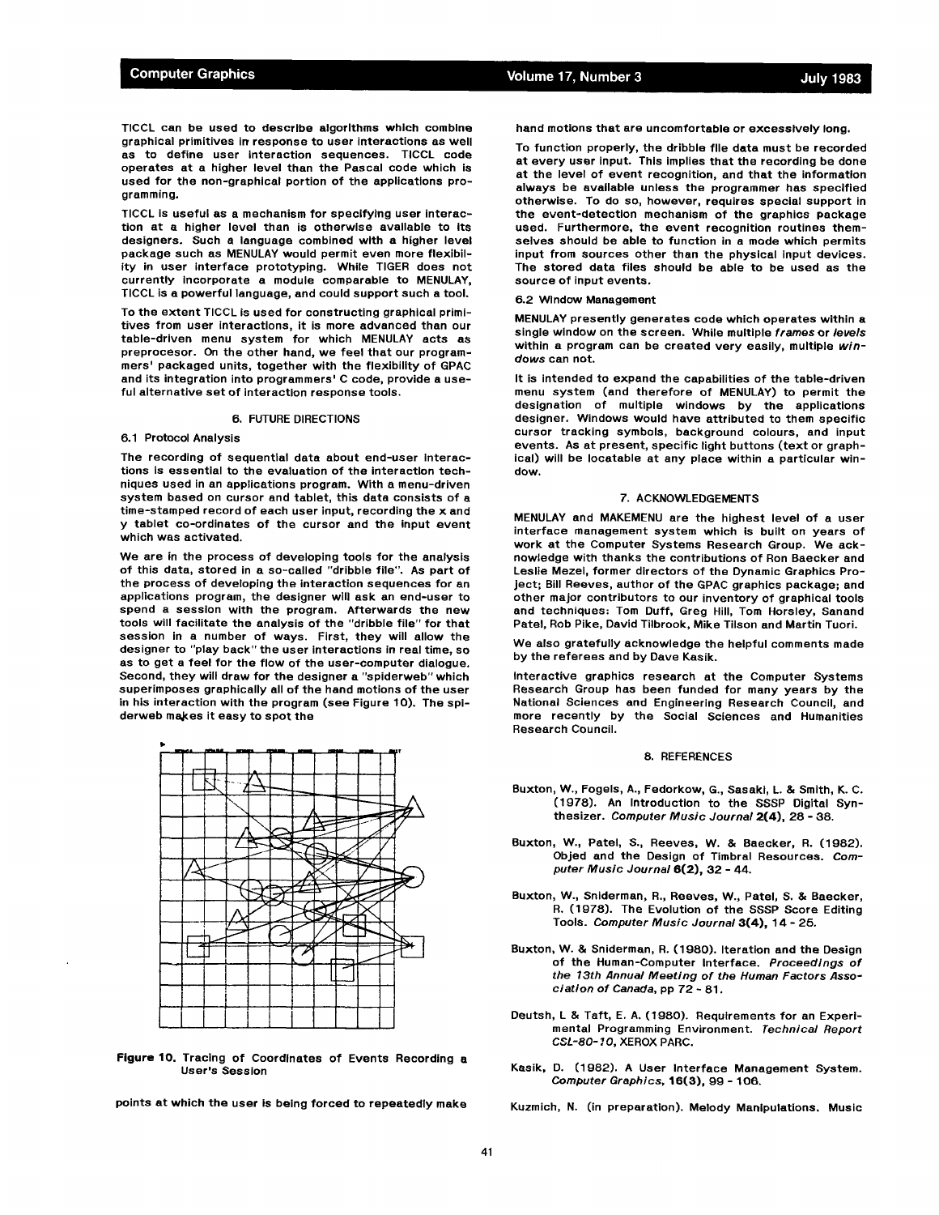TICCL can be used to describe algorithms which combine graphical primitives in response to user interactions as well as to define user interaction sequences. TICCL code operates at a higher level than the Pascal code which is used for the non-graphical portion of the applications programming.

TICCL is useful as a mechanism for specifying user interaction at a higher level than is otherwise available to Its designers. Such a language combined with a higher level package such as MENULAY would permit even more flexibility in user interface prototyping. While TIGER does not currently Incorporate a module comparable to MENULAY, TICCL Is a powerful language, and could support such a tool.

To the extent TICCL is used for constructing graphical primitives from user interactions, it is more advanced than our table-driven menu system for which MENULAY acts as preprocesor. On the other hand, we feel that our programmers' packaged units, together with the flexibility of GPAC and its integration into programmers' C code, provide a useful alternative set of interaction response tools.

### 6. FUTURE DIRECTIONS

### 6.1 Protocol Analysis

The recording of sequential data about end-user interactions is essential to the evaluation of the interaction techniques used in an applications program. With a menu-driven system based on cursor and tablet, this data consists of a time-stamped record of each user input, recording the x and y tablet co-ordinates of the cursor and the input event which was activated.

We are in the process of developing tools for the analysis of this data, stored in a so-called "dribble file". As part of the process of developing the interaction sequences for an applications program, the designer will ask an end-user to spend a session with the program. Afterwards the new tools will facilitate the analysis of the "dribble file" for that session in a number of ways. First, they will allow the designer to "play back" the user interactions in real time, so as to get a feel for the flow of the user-computer dialogue. Second, they will draw for the designer a "spiderweb" which superimposes graphically all of the hand motions of the user in his interaction with the program (see Figure 10). The spiderweb makes it easy to spot the



**Figure 10.** Tracing of Coordinates of Events Recording a User's Session

points at which the user is being forced to repeatedly make

hand motions that are uncomfortable or excessively long.

To function properly, the dribble file data must be recorded at every user input. This implies that the recording be done at the level of event recognition, and that the information always be available unless the programmer has specified otherwise. To do so, however, requires special support in the event-detection mechanism of the graphics package used. Furthermore, the event recognition routines themselves should be able to function in a mode which permits input from sources other than the physical input devices. The stored data files should be able to be used as the source of input events.

#### 6.2 Window Management

MENULAY presently generates code which operates within a single window on the screen. While multiple *frames* or *levels*  within a program can be created very easily, multiple *windows* can not.

It is intended to expand the capabilities of the table-driven menu system (and therefore of MENULAY) to permit the designation of multiple windows by the applications designer. Windows would have attributed to them specific cursor tracking symbols, background colours, and input events. As at present, specific light buttons (text or graphical) will be Iocatable at any place within a particular window.

### 7. ACKNOWLEDGEMENTS

MENULAY and MAKEMENU are the highest level of a user interface management system which is built on years of work at the Computer Systems Research Group. We acknowledge with thanks the contributions of Ron Baecker and Leslie Mezel, former directors of the Dynamic Graphics Project; Bill Reeves, author of the GPAC graphics package; and other major contributors to our inventory of graphical tools and techniques: Tom Duff, Greg Hill, Tom Horsley, Sanand Patel, Rob Pike, David Tilbrook, Mike Tilson and Martin Tuori.

We also gratefully acknowledge the helpful comments made by the referees and by Dave Kasik.

Interactive graphics research at the Computer Systems Research Group has been funded for many years by the National Sciences and Engineering Research Council, and more recently by the Social Sciences and Humanities Research Council.

#### 8. REFERENCES

- Buxton, W., Fogels, A., Fedorkow, G., Sasaki, L. & Smith, K. C. (lg78). An Introduction to the SSSP Digital Synthesizer. *Computer Music Journal* 2(4), 28 - 38.
- Buxton, W., Patel, *S.,* Reeves, W. & Baecker, R. (1982). Objed and the Design of Timbral Resources. *Computer Music Journal* 6(2), 32 - 44.
- Buxton, W., Sniderman, R., Reeves, W., Patel, *S. &* Baecker, R. (1978). The Evolution of the SSSP Score Editing Tools. *Computer Music Journal* 3(4), 14 - 25.
- Buxton, W. & Sniderman, R. (1080). Iteration and the Design of the Human-Computer Interface. *Proceedings of the 13th Annual Meeting of the Human Factors Association of Canada,* pp 72 - 81.
- Deutsh, L & Taft, E. A. (1980). Requirements for an Experimental Programming Environment. *Technical Report CSL-80-* I O, XEROX PARC.
- Kasik, D. (1982). A User Interface Management System. *Computer Graphics,* 16(3), 90 - 106.

Kuzmich, N. (in preparation). Melody Manipulations. Music